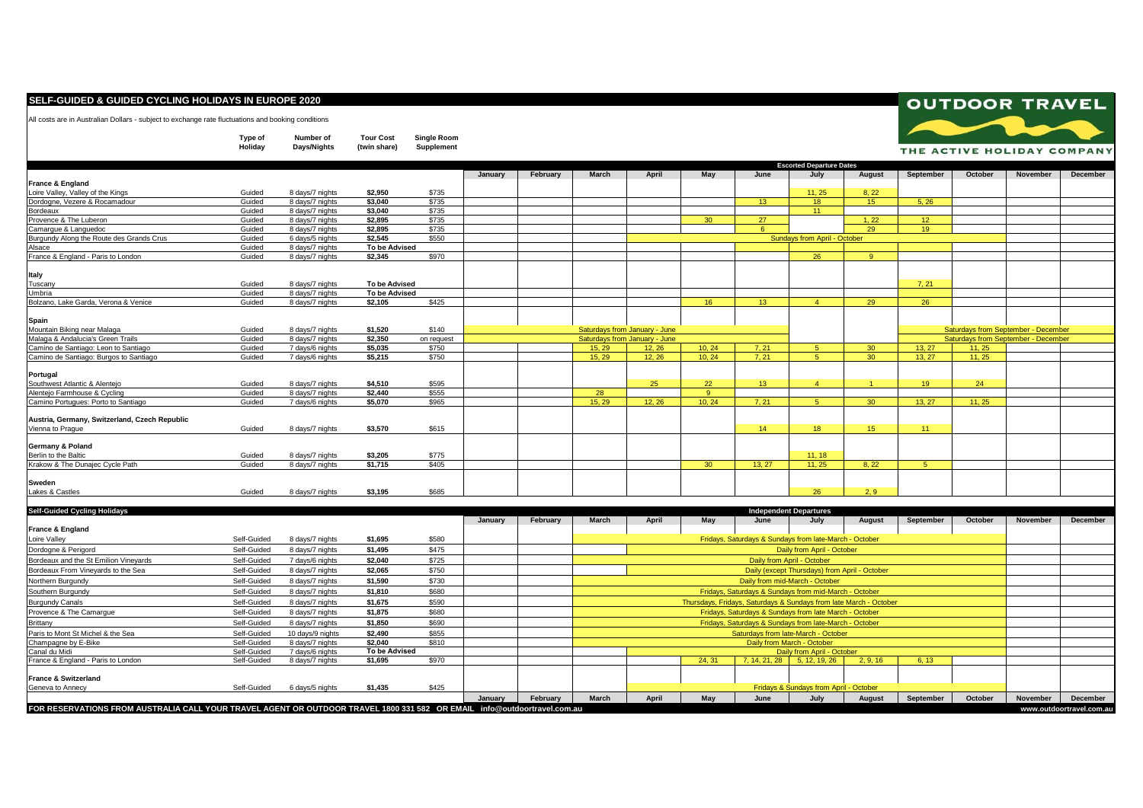## **SELF-GUIDED & GUIDED CYCLING HOLIDAYS IN EUROPE 2020**

All costs are in Australian Dollars - subject to exchange rate fluctuations and booking conditions

**Type of Number of Tour Cost Single Room**

|                                               | Holiday          | Days/Nights                        | (twin share)  | Supplement |         |          |                                               |                                                        |                 |                 |                                 |               |                  |                 | THE ACTIVE HOLIDAY COMPANY          |                                     |  |
|-----------------------------------------------|------------------|------------------------------------|---------------|------------|---------|----------|-----------------------------------------------|--------------------------------------------------------|-----------------|-----------------|---------------------------------|---------------|------------------|-----------------|-------------------------------------|-------------------------------------|--|
|                                               |                  |                                    |               |            |         |          |                                               |                                                        |                 |                 | <b>Escorted Departure Dates</b> |               |                  |                 |                                     |                                     |  |
|                                               |                  |                                    |               |            | January | February | March                                         | April                                                  | May             | June            | July                            | August        | September        | October         | <b>November</b>                     | <b>December</b>                     |  |
| France & England                              |                  |                                    |               |            |         |          |                                               |                                                        |                 |                 |                                 |               |                  |                 |                                     |                                     |  |
| Loire Valley, Valley of the Kings             | Guided           | 8 days/7 nights                    | \$2.950       | \$735      |         |          |                                               |                                                        |                 |                 | 11.25                           | 8.22          |                  |                 |                                     |                                     |  |
| Dordogne, Vezere & Rocamadour                 | Guided           | 8 days/7 nights                    | \$3,040       | \$735      |         |          |                                               |                                                        |                 | 13              | 18                              | 15            | 5, 26            |                 |                                     |                                     |  |
| Bordeaux                                      | Guided           | 8 days/7 nights                    | \$3,040       | \$735      |         |          |                                               |                                                        |                 |                 | 11                              |               |                  |                 |                                     |                                     |  |
| Provence & The Luberon                        | Guided           | 8 days/7 nights                    | \$2,895       | \$735      |         |          |                                               |                                                        | 30 <sup>°</sup> | 27              |                                 | 1, 22         | 12 <sup>7</sup>  |                 |                                     |                                     |  |
| Camarque & Languedoc                          | Guided           | 8 days/7 nights                    | \$2.895       | \$735      |         |          |                                               |                                                        |                 | $\epsilon$      |                                 | 29            | 19               |                 |                                     |                                     |  |
| Burgundy Along the Route des Grands Crus      | Guided           | 6 days/5 nights                    | \$2.545       | \$550      |         |          |                                               | Sundays from April - October                           |                 |                 |                                 |               |                  |                 |                                     |                                     |  |
| Alsace                                        | Guided           | 8 days/7 nights                    | To be Advised |            |         |          |                                               |                                                        |                 |                 |                                 |               |                  |                 |                                     |                                     |  |
| France & England - Paris to London            | Guided           | 8 days/7 nights                    | \$2.345       | \$970      |         |          |                                               |                                                        |                 |                 | 26                              | $\mathbf{Q}$  |                  |                 |                                     |                                     |  |
| Italy                                         |                  |                                    |               |            |         |          |                                               |                                                        |                 |                 |                                 |               |                  |                 |                                     |                                     |  |
| Tuscanv                                       | Guided           | 8 days/7 nights                    | To be Advised |            |         |          |                                               |                                                        |                 |                 |                                 |               | 7.21             |                 |                                     |                                     |  |
| Umbria                                        | Guided           | 8 days/7 nights                    | To be Advised |            |         |          |                                               |                                                        |                 |                 |                                 |               |                  |                 |                                     |                                     |  |
| Bolzano, Lake Garda, Verona & Venice          | Guided           | 8 days/7 nights                    | \$2,105       | \$425      |         |          |                                               |                                                        | 16              | 13 <sup>7</sup> | $\mathbf{A}$                    | 29            | 26               |                 |                                     |                                     |  |
|                                               |                  |                                    |               |            |         |          |                                               |                                                        |                 |                 |                                 |               |                  |                 |                                     |                                     |  |
| Spain<br>Mountain Biking near Malaga          | Guided           |                                    | \$1,520       | \$140      |         |          |                                               | Saturdays from January - June                          |                 |                 |                                 |               |                  |                 | Saturdays from September - December |                                     |  |
| Malaga & Andalucia's Green Trails             | Guided           | 8 days/7 nights<br>8 days/7 nights | \$2,350       | on request |         |          |                                               | Saturdays from January - June                          |                 |                 |                                 |               |                  |                 |                                     | Saturdays from September - December |  |
| Camino de Santiago: Leon to Santiago          |                  |                                    | \$5,035       | \$750      |         |          |                                               |                                                        | 10.24           | 7, 21           | -5                              | 30            | 13, 27           |                 |                                     |                                     |  |
| Camino de Santiago: Burgos to Santiago        | Guided<br>Guided | 7 days/6 nights                    | \$5,215       | \$750      |         |          | 15.29<br>15.29                                | 12, 26<br>12.26                                        | 10.24           | 7.21            | -5.                             | 30            | 13.27            | 11, 25<br>11.25 |                                     |                                     |  |
|                                               |                  | 7 days/6 nights                    |               |            |         |          |                                               |                                                        |                 |                 |                                 |               |                  |                 |                                     |                                     |  |
| Portugal                                      |                  |                                    |               |            |         |          |                                               |                                                        |                 |                 |                                 |               |                  |                 |                                     |                                     |  |
| Southwest Atlantic & Alenteio                 | Guided           | 8 days/7 nights                    | \$4.510       | \$595      |         |          |                                               | 25                                                     | 22              | 13 <sup>7</sup> | $\overline{A}$                  |               | 19               | 24              |                                     |                                     |  |
| Alenteio Farmhouse & Cycling                  | Guided           | 8 days/7 nights                    | \$2,440       | \$555      |         |          | 28                                            |                                                        | -9              |                 |                                 |               |                  |                 |                                     |                                     |  |
| Camino Portugues: Porto to Santiago           | Guided           | 7 days/6 nights                    | \$5,070       | \$965      |         |          | 15.29                                         | 12.26                                                  | 10.24           | 7.21            | 5 <sup>1</sup>                  | 30            | 13.27            | 11.25           |                                     |                                     |  |
| Austria, Germany, Switzerland, Czech Republic |                  |                                    |               |            |         |          |                                               |                                                        |                 |                 |                                 |               |                  |                 |                                     |                                     |  |
| Vienna to Prague                              | Guided           | 8 days/7 nights                    | \$3,570       | \$615      |         |          |                                               |                                                        |                 | 14              | 18                              | 15            | 11               |                 |                                     |                                     |  |
|                                               |                  |                                    |               |            |         |          |                                               |                                                        |                 |                 |                                 |               |                  |                 |                                     |                                     |  |
| Germany & Poland                              |                  |                                    |               |            |         |          |                                               |                                                        |                 |                 |                                 |               |                  |                 |                                     |                                     |  |
| Berlin to the Baltic                          | Guided           | 8 days/7 nights                    | \$3,205       | \$775      |         |          |                                               |                                                        |                 |                 | 11, 18                          |               |                  |                 |                                     |                                     |  |
| Krakow & The Dunaiec Cycle Path               | Guided           | 8 days/7 nights                    | \$1.715       | \$405      |         |          |                                               |                                                        | 30              | 13.27           | 11.25                           | 8.22          | 5 <sup>5</sup>   |                 |                                     |                                     |  |
| <b>Sweden</b>                                 |                  |                                    |               |            |         |          |                                               |                                                        |                 |                 |                                 |               |                  |                 |                                     |                                     |  |
| Lakes & Castles                               | Guided           | 8 days/7 nights                    | \$3,195       | \$685      |         |          |                                               |                                                        |                 |                 | 26                              | 2.9           |                  |                 |                                     |                                     |  |
|                                               |                  |                                    |               |            |         |          |                                               |                                                        |                 |                 |                                 |               |                  |                 |                                     |                                     |  |
| <b>Self-Guided Cycling Holidays</b>           |                  |                                    |               |            |         |          |                                               |                                                        |                 |                 | <b>Independent Departures</b>   |               |                  |                 |                                     |                                     |  |
|                                               |                  |                                    |               |            | January | February | March                                         | April                                                  | May             | June            | July                            | <b>August</b> | <b>September</b> | October         | <b>November</b>                     | <b>December</b>                     |  |
| France & England                              |                  |                                    |               |            |         |          |                                               |                                                        |                 |                 |                                 |               |                  |                 |                                     |                                     |  |
| Loire Valley                                  | Self-Guided      | 8 days/7 nights                    | \$1,695       | \$580      |         |          |                                               | Fridays, Saturdays & Sundays from late-March - October |                 |                 |                                 |               |                  |                 |                                     |                                     |  |
| Dordoane & Perigord                           | Self-Guided      | 8 days/7 nights                    | \$1.495       | \$475      |         |          | Daily from April - October                    |                                                        |                 |                 |                                 |               |                  |                 |                                     |                                     |  |
| Bordeaux and the St Emilion Vinevards         | Self-Guided      | 7 days/6 nights                    | \$2.040       | \$725      |         |          |                                               | Daily from April - October                             |                 |                 |                                 |               |                  |                 |                                     |                                     |  |
| Bordeaux From Vinevards to the Sea            | Self-Guided      | 8 days/7 nights                    | \$2.065       | \$750      |         |          | Daily (except Thursdays) from April - October |                                                        |                 |                 |                                 |               |                  |                 |                                     |                                     |  |

|                                       | FOR RESERVATIONS FROM AUSTRALIA CALL YOUR TRAVEL AGENT OR OUTDOOR TRAVEL 1800 331 582 OR EMAIL info@outdoortravel.com.au |                  |                      |       |         |          |                                                                   |       |       |      |                             |          |           | www.outdoortravel.com.au |          |          |
|---------------------------------------|--------------------------------------------------------------------------------------------------------------------------|------------------|----------------------|-------|---------|----------|-------------------------------------------------------------------|-------|-------|------|-----------------------------|----------|-----------|--------------------------|----------|----------|
|                                       |                                                                                                                          |                  |                      |       | January | February | March                                                             | April | May   | June | July                        | August   | September | October                  | November | December |
| Geneva to Annecy                      | Self-Guided                                                                                                              | 6 days/5 nights  | \$1,435              | \$425 |         |          |                                                                   |       |       |      |                             |          |           |                          |          |          |
| <b>France &amp; Switzerland</b>       |                                                                                                                          |                  |                      |       |         |          |                                                                   |       |       |      |                             |          |           |                          |          |          |
| France & England - Paris to London    | Self-Guided                                                                                                              | 8 days/7 nights  | \$1,695              | \$970 |         |          |                                                                   |       | 24.31 |      | 7, 14, 21, 28 5, 12, 19, 26 | 2, 9, 16 | 6.13      |                          |          |          |
| Canal du Midi                         | Self-Guided                                                                                                              | 7 days/6 nights  | <b>To be Advised</b> |       |         |          | Daily from April - October                                        |       |       |      |                             |          |           |                          |          |          |
| Champagne by E-Bike                   | Self-Guided                                                                                                              | 8 days/7 nights  | \$2,040              | \$810 |         |          | Daily from March - October                                        |       |       |      |                             |          |           |                          |          |          |
| Paris to Mont St Michel & the Sea     | Self-Guided                                                                                                              | 10 days/9 nights | \$2.490              | \$855 |         |          | Saturdays from late-March - October                               |       |       |      |                             |          |           |                          |          |          |
| Brittany                              | Self-Guided                                                                                                              | 8 days/7 nights  | \$1,850              | \$690 |         |          | Fridays, Saturdays & Sundays from late-March - October            |       |       |      |                             |          |           |                          |          |          |
| Provence & The Camarque               | Self-Guided                                                                                                              | 8 days/7 nights  | \$1,875              | \$680 |         |          | Fridays, Saturdays & Sundays from late March - October            |       |       |      |                             |          |           |                          |          |          |
| <b>Burgundy Canals</b>                | Self-Guided                                                                                                              | 8 days/7 nights  | \$1,675              | \$590 |         |          | Thursdays, Fridays, Saturdays & Sundays from late March - October |       |       |      |                             |          |           |                          |          |          |
| Southern Burgundy                     | Self-Guided                                                                                                              | 8 days/7 nights  | \$1,810              | \$680 |         |          | Fridays, Saturdays & Sundays from mid-March - October             |       |       |      |                             |          |           |                          |          |          |
| Northern Burgundy                     | Self-Guided                                                                                                              | 8 days/7 nights  | \$1,590              | \$730 |         |          | Daily from mid-March - October                                    |       |       |      |                             |          |           |                          |          |          |
| Bordeaux From Vineyards to the Sea    | Self-Guided                                                                                                              | 8 days/7 nights  | \$2,065              | \$750 |         |          | Daily (except Thursdays) from April - October                     |       |       |      |                             |          |           |                          |          |          |
| Bordeaux and the St Emilion Vineyards | Self-Guided                                                                                                              | 7 davs/6 nights  | \$2.040              | \$725 |         |          | Daily from April - October                                        |       |       |      |                             |          |           |                          |          |          |